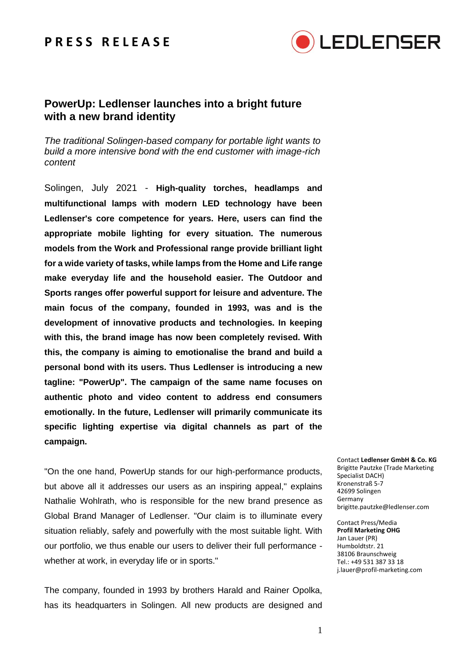## **P R E S S R E L E A S E**



## **PowerUp: Ledlenser launches into a bright future with a new brand identity**

*The traditional Solingen-based company for portable light wants to build a more intensive bond with the end customer with image-rich content*

Solingen, July 2021 - **High-quality torches, headlamps and multifunctional lamps with modern LED technology have been Ledlenser's core competence for years. Here, users can find the appropriate mobile lighting for every situation. The numerous models from the Work and Professional range provide brilliant light for a wide variety of tasks, while lamps from the Home and Life range make everyday life and the household easier. The Outdoor and Sports ranges offer powerful support for leisure and adventure. The main focus of the company, founded in 1993, was and is the development of innovative products and technologies. In keeping with this, the brand image has now been completely revised. With this, the company is aiming to emotionalise the brand and build a personal bond with its users. Thus Ledlenser is introducing a new tagline: "PowerUp". The campaign of the same name focuses on authentic photo and video content to address end consumers emotionally. In the future, Ledlenser will primarily communicate its specific lighting expertise via digital channels as part of the campaign.**

"On the one hand, PowerUp stands for our high-performance products, but above all it addresses our users as an inspiring appeal," explains Nathalie Wohlrath, who is responsible for the new brand presence as Global Brand Manager of Ledlenser. "Our claim is to illuminate every situation reliably, safely and powerfully with the most suitable light. With our portfolio, we thus enable our users to deliver their full performance whether at work, in everyday life or in sports."

The company, founded in 1993 by brothers Harald and Rainer Opolka, has its headquarters in Solingen. All new products are designed and

Contact **Ledlenser GmbH & Co. KG** Brigitte Pautzke (Trade Marketing Specialist DACH) Kronenstraß 5-7 42699 Solingen Germany brigitte.pautzke@ledlenser.com

Contact Press/Media **Profil Marketing OHG** Jan Lauer (PR) Humboldtstr. 21 38106 Braunschweig Tel.: +49 531 387 33 18 j.lauer@profil-marketing.com